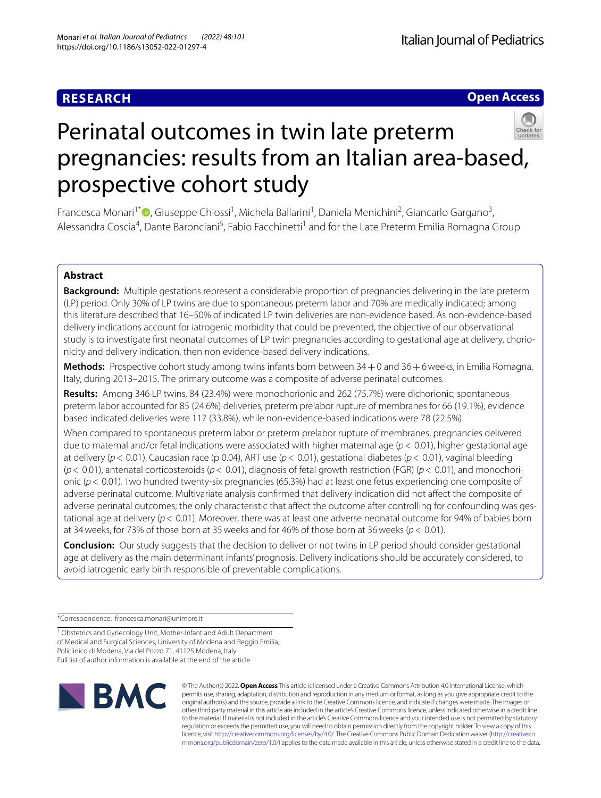# **RESEARCH**

**Open Access**

# Perinatal outcomes in twin late preterm pregnancies: results from an Italian area-based, prospective cohort study

Francesca Monari<sup>1\*</sup><sup>®</sup>[,](http://orcid.org/0000-0002-1831-3086) Giuseppe Chiossi<sup>1</sup>, Michela Ballarini<sup>1</sup>, Daniela Menichini<sup>2</sup>, Giancarlo Gargano<sup>3</sup>, Alessandra Coscia<sup>4</sup>, Dante Baronciani<sup>5</sup>, Fabio Facchinetti<sup>1</sup> and for the Late Preterm Emilia Romagna Group

# **Abstract**

**Background:** Multiple gestations represent a considerable proportion of pregnancies delivering in the late preterm (LP) period. Only 30% of LP twins are due to spontaneous preterm labor and 70% are medically indicated; among this literature described that 16–50% of indicated LP twin deliveries are non-evidence based. As non-evidence-based delivery indications account for iatrogenic morbidity that could be prevented, the objective of our observational study is to investigate frst neonatal outcomes of LP twin pregnancies according to gestational age at delivery, chorionicity and delivery indication, then non evidence-based delivery indications.

**Methods:** Prospective cohort study among twins infants born between 34+0 and 36+6weeks, in Emilia Romagna, Italy, during 2013–2015. The primary outcome was a composite of adverse perinatal outcomes.

**Results:** Among 346 LP twins, 84 (23.4%) were monochorionic and 262 (75.7%) were dichorionic; spontaneous preterm labor accounted for 85 (24.6%) deliveries, preterm prelabor rupture of membranes for 66 (19.1%), evidence based indicated deliveries were 117 (33.8%), while non-evidence-based indications were 78 (22.5%).

When compared to spontaneous preterm labor or preterm prelabor rupture of membranes, pregnancies delivered due to maternal and/or fetal indications were associated with higher maternal age (*p*< 0.01), higher gestational age at delivery (*p*< 0.01), Caucasian race (p 0.04), ART use (*p*< 0.01), gestational diabetes (*p*< 0.01), vaginal bleeding (*p*< 0.01), antenatal corticosteroids (*p*< 0.01), diagnosis of fetal growth restriction (FGR) (*p*< 0.01), and monochorionic (*p*< 0.01). Two hundred twenty-six pregnancies (65.3%) had at least one fetus experiencing one composite of adverse perinatal outcome. Multivariate analysis confrmed that delivery indication did not afect the composite of adverse perinatal outcomes; the only characteristic that afect the outcome after controlling for confounding was gestational age at delivery (*p*< 0.01). Moreover, there was at least one adverse neonatal outcome for 94% of babies born at 34weeks, for 73% of those born at 35weeks and for 46% of those born at 36weeks (*p*< 0.01).

**Conclusion:** Our study suggests that the decision to deliver or not twins in LP period should consider gestational age at delivery as the main determinant infants' prognosis. Delivery indications should be accurately considered, to avoid iatrogenic early birth responsible of preventable complications.

\*Correspondence: francesca.monari@unimore.it

<sup>1</sup> Obstetrics and Gynecology Unit, Mother-Infant and Adult Department of Medical and Surgical Sciences, University of Modena and Reggio Emilia, Policlinico di Modena, Via del Pozzo 71, 41125 Modena, Italy Full list of author information is available at the end of the article



© The Author(s) 2022. **Open Access** This article is licensed under a Creative Commons Attribution 4.0 International License, which permits use, sharing, adaptation, distribution and reproduction in any medium or format, as long as you give appropriate credit to the original author(s) and the source, provide a link to the Creative Commons licence, and indicate if changes were made. The images or other third party material in this article are included in the article's Creative Commons licence, unless indicated otherwise in a credit line to the material. If material is not included in the article's Creative Commons licence and your intended use is not permitted by statutory regulation or exceeds the permitted use, you will need to obtain permission directly from the copyright holder. To view a copy of this licence, visit [http://creativecommons.org/licenses/by/4.0/.](http://creativecommons.org/licenses/by/4.0/) The Creative Commons Public Domain Dedication waiver ([http://creativeco](http://creativecommons.org/publicdomain/zero/1.0/) [mmons.org/publicdomain/zero/1.0/](http://creativecommons.org/publicdomain/zero/1.0/)) applies to the data made available in this article, unless otherwise stated in a credit line to the data.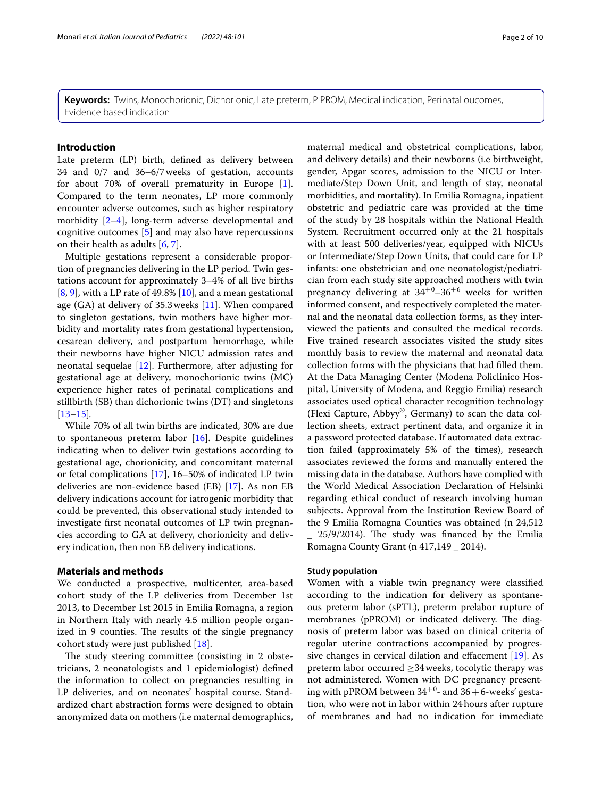**Keywords:** Twins, Monochorionic, Dichorionic, Late preterm, P PROM, Medical indication, Perinatal oucomes, Evidence based indication

#### **Introduction**

Late preterm (LP) birth, defned as delivery between 34 and 0/7 and 36–6/7weeks of gestation, accounts for about 70% of overall prematurity in Europe [\[1](#page-8-0)]. Compared to the term neonates, LP more commonly encounter adverse outcomes, such as higher respiratory morbidity [[2–](#page-8-1)[4](#page-8-2)], long-term adverse developmental and cognitive outcomes [\[5](#page-8-3)] and may also have repercussions on their health as adults [\[6](#page-8-4), [7\]](#page-8-5).

Multiple gestations represent a considerable proportion of pregnancies delivering in the LP period. Twin gestations account for approximately 3–4% of all live births  $[8, 9]$  $[8, 9]$  $[8, 9]$  $[8, 9]$ , with a LP rate of 49.8%  $[10]$  $[10]$ , and a mean gestational age  $(GA)$  at delivery of 35.3 weeks  $[11]$ . When compared to singleton gestations, twin mothers have higher morbidity and mortality rates from gestational hypertension, cesarean delivery, and postpartum hemorrhage, while their newborns have higher NICU admission rates and neonatal sequelae [[12](#page-9-2)]. Furthermore, after adjusting for gestational age at delivery, monochorionic twins (MC) experience higher rates of perinatal complications and stillbirth (SB) than dichorionic twins (DT) and singletons [[13–](#page-9-3)[15](#page-9-4)]*.*

While 70% of all twin births are indicated, 30% are due to spontaneous preterm labor [\[16](#page-9-5)]. Despite guidelines indicating when to deliver twin gestations according to gestational age, chorionicity, and concomitant maternal or fetal complications [[17](#page-9-6)], 16–50% of indicated LP twin deliveries are non-evidence based (EB) [\[17\]](#page-9-6). As non EB delivery indications account for iatrogenic morbidity that could be prevented, this observational study intended to investigate frst neonatal outcomes of LP twin pregnancies according to GA at delivery, chorionicity and delivery indication, then non EB delivery indications.

#### **Materials and methods**

We conducted a prospective, multicenter, area-based cohort study of the LP deliveries from December 1st 2013, to December 1st 2015 in Emilia Romagna, a region in Northern Italy with nearly 4.5 million people organized in 9 counties. The results of the single pregnancy cohort study were just published [\[18\]](#page-9-7).

The study steering committee (consisting in 2 obstetricians, 2 neonatologists and 1 epidemiologist) defned the information to collect on pregnancies resulting in LP deliveries, and on neonates' hospital course. Standardized chart abstraction forms were designed to obtain anonymized data on mothers (i.e maternal demographics, maternal medical and obstetrical complications, labor, and delivery details) and their newborns (i.e birthweight, gender, Apgar scores, admission to the NICU or Intermediate/Step Down Unit, and length of stay, neonatal morbidities, and mortality). In Emilia Romagna, inpatient obstetric and pediatric care was provided at the time of the study by 28 hospitals within the National Health System. Recruitment occurred only at the 21 hospitals with at least 500 deliveries/year, equipped with NICUs or Intermediate/Step Down Units, that could care for LP infants: one obstetrician and one neonatologist/pediatrician from each study site approached mothers with twin pregnancy delivering at  $34^{+0}$ – $36^{+6}$  weeks for written informed consent, and respectively completed the maternal and the neonatal data collection forms, as they interviewed the patients and consulted the medical records. Five trained research associates visited the study sites monthly basis to review the maternal and neonatal data collection forms with the physicians that had flled them. At the Data Managing Center (Modena Policlinico Hospital, University of Modena, and Reggio Emilia) research associates used optical character recognition technology (Flexi Capture, Abbyy®, Germany) to scan the data collection sheets, extract pertinent data, and organize it in a password protected database. If automated data extraction failed (approximately 5% of the times), research associates reviewed the forms and manually entered the missing data in the database. Authors have complied with the World Medical Association Declaration of Helsinki regarding ethical conduct of research involving human subjects. Approval from the Institution Review Board of the 9 Emilia Romagna Counties was obtained (n 24,512  $25/9/2014$ ). The study was financed by the Emilia Romagna County Grant (n 417,149 \_ 2014).

#### **Study population**

Women with a viable twin pregnancy were classifed according to the indication for delivery as spontaneous preterm labor (sPTL), preterm prelabor rupture of membranes (pPROM) or indicated delivery. The diagnosis of preterm labor was based on clinical criteria of regular uterine contractions accompanied by progressive changes in cervical dilation and efacement [\[19](#page-9-8)]. As preterm labor occurred  $\geq$ 34 weeks, tocolytic therapy was not administered. Women with DC pregnancy presenting with pPROM between  $34^{+0}$ - and  $36+6$ -weeks' gestation, who were not in labor within 24hours after rupture of membranes and had no indication for immediate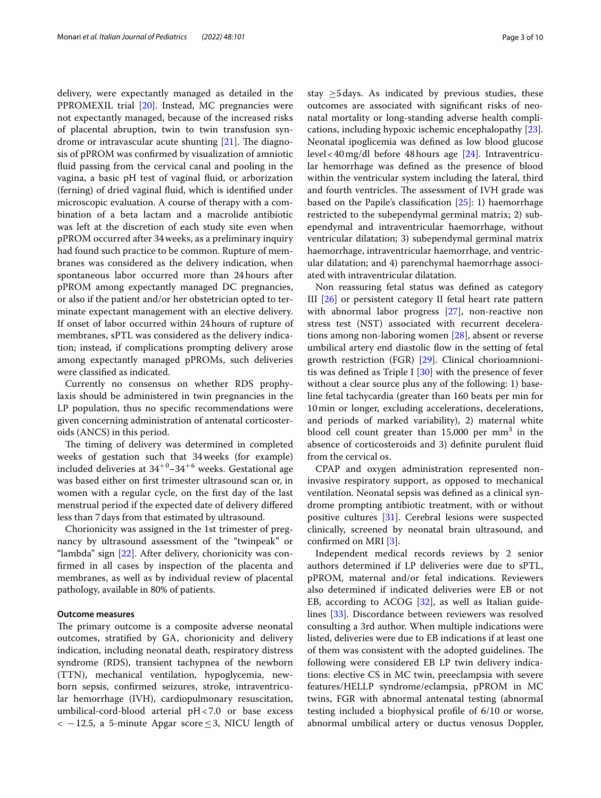delivery, were expectantly managed as detailed in the PPROMEXIL trial [[20\]](#page-9-9). Instead, MC pregnancies were not expectantly managed, because of the increased risks of placental abruption, twin to twin transfusion syndrome or intravascular acute shunting  $[21]$ . The diagnosis of pPROM was confrmed by visualization of amniotic fuid passing from the cervical canal and pooling in the vagina, a basic pH test of vaginal fuid, or arborization (ferning) of dried vaginal fuid, which is identifed under microscopic evaluation. A course of therapy with a combination of a beta lactam and a macrolide antibiotic was left at the discretion of each study site even when pPROM occurred after 34weeks, as a preliminary inquiry had found such practice to be common. Rupture of membranes was considered as the delivery indication, when spontaneous labor occurred more than 24hours after pPROM among expectantly managed DC pregnancies, or also if the patient and/or her obstetrician opted to terminate expectant management with an elective delivery. If onset of labor occurred within 24hours of rupture of membranes, sPTL was considered as the delivery indication; instead, if complications prompting delivery arose among expectantly managed pPROMs, such deliveries were classifed as indicated.

Currently no consensus on whether RDS prophylaxis should be administered in twin pregnancies in the LP population, thus no specifc recommendations were given concerning administration of antenatal corticosteroids (ANCS) in this period.

The timing of delivery was determined in completed weeks of gestation such that 34weeks (for example) included deliveries at  $34^{+0}$ – $34^{+6}$  weeks. Gestational age was based either on frst trimester ultrasound scan or, in women with a regular cycle, on the frst day of the last menstrual period if the expected date of delivery difered less than 7days from that estimated by ultrasound.

Chorionicity was assigned in the 1st trimester of pregnancy by ultrasound assessment of the "twinpeak" or "lambda" sign [\[22](#page-9-11)]. After delivery, chorionicity was confrmed in all cases by inspection of the placenta and membranes, as well as by individual review of placental pathology, available in 80% of patients.

#### **Outcome measures**

The primary outcome is a composite adverse neonatal outcomes, stratifed by GA, chorionicity and delivery indication, including neonatal death, respiratory distress syndrome (RDS), transient tachypnea of the newborn (TTN), mechanical ventilation, hypoglycemia, newborn sepsis, confrmed seizures, stroke, intraventricular hemorrhage (IVH), cardiopulmonary resuscitation, umbilical-cord-blood arterial pH<7.0 or base excess  $<-12.5$ , a 5-minute Apgar score  $\leq$  3, NICU length of stay  $\geq$ 5 days. As indicated by previous studies, these outcomes are associated with signifcant risks of neonatal mortality or long-standing adverse health complications, including hypoxic ischemic encephalopathy [\[23](#page-9-12)]. Neonatal ipoglicemia was defned as low blood glucose level<40mg/dl before 48hours age [\[24](#page-9-13)]. Intraventricular hemorrhage was defned as the presence of blood within the ventricular system including the lateral, third and fourth ventricles. The assessment of IVH grade was based on the Papile's classifcation [\[25](#page-9-14)]: 1) haemorrhage restricted to the subependymal germinal matrix; 2) subependymal and intraventricular haemorrhage, without ventricular dilatation; 3) subependymal germinal matrix haemorrhage, intraventricular haemorrhage, and ventricular dilatation; and 4) parenchymal haemorrhage associated with intraventricular dilatation.

Non reassuring fetal status was defned as category III [\[26](#page-9-15)] or persistent category II fetal heart rate pattern with abnormal labor progress [\[27\]](#page-9-16), non-reactive non stress test (NST) associated with recurrent decelerations among non-laboring women [[28](#page-9-17)], absent or reverse umbilical artery end diastolic flow in the setting of fetal growth restriction (FGR) [\[29](#page-9-18)]. Clinical chorioamnionitis was defned as Triple I [\[30](#page-9-19)] with the presence of fever without a clear source plus any of the following: 1) baseline fetal tachycardia (greater than 160 beats per min for 10min or longer, excluding accelerations, decelerations, and periods of marked variability), 2) maternal white blood cell count greater than 15,000 per mm<sup>3</sup> in the absence of corticosteroids and 3) defnite purulent fuid from the cervical os.

CPAP and oxygen administration represented noninvasive respiratory support, as opposed to mechanical ventilation. Neonatal sepsis was defned as a clinical syndrome prompting antibiotic treatment, with or without positive cultures [[31\]](#page-9-20). Cerebral lesions were suspected clinically, screened by neonatal brain ultrasound, and confrmed on MRI [\[3](#page-8-8)].

Independent medical records reviews by 2 senior authors determined if LP deliveries were due to sPTL, pPROM, maternal and/or fetal indications. Reviewers also determined if indicated deliveries were EB or not EB, according to ACOG  $[32]$  $[32]$ , as well as Italian guidelines [[33](#page-9-22)]. Discordance between reviewers was resolved consulting a 3rd author. When multiple indications were listed, deliveries were due to EB indications if at least one of them was consistent with the adopted guidelines. The following were considered EB LP twin delivery indications: elective CS in MC twin, preeclampsia with severe features/HELLP syndrome/eclampsia, pPROM in MC twins, FGR with abnormal antenatal testing (abnormal testing included a biophysical profle of 6/10 or worse, abnormal umbilical artery or ductus venosus Doppler,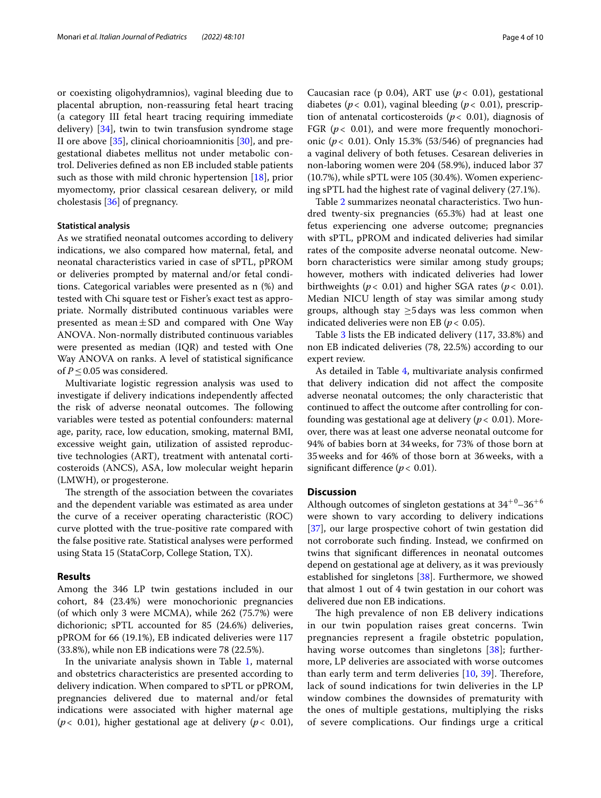or coexisting oligohydramnios), vaginal bleeding due to placental abruption, non-reassuring fetal heart tracing (a category III fetal heart tracing requiring immediate delivery) [\[34](#page-9-23)], twin to twin transfusion syndrome stage II ore above [[35\]](#page-9-24), clinical chorioamnionitis [[30\]](#page-9-19), and pregestational diabetes mellitus not under metabolic control. Deliveries defned as non EB included stable patients such as those with mild chronic hypertension  $[18]$  $[18]$ , prior myomectomy, prior classical cesarean delivery, or mild cholestasis [\[36](#page-9-25)] of pregnancy.

#### **Statistical analysis**

As we stratifed neonatal outcomes according to delivery indications, we also compared how maternal, fetal, and neonatal characteristics varied in case of sPTL, pPROM or deliveries prompted by maternal and/or fetal conditions. Categorical variables were presented as n (%) and tested with Chi square test or Fisher's exact test as appropriate. Normally distributed continuous variables were presented as mean $\pm$ SD and compared with One Way ANOVA. Non-normally distributed continuous variables were presented as median (IQR) and tested with One Way ANOVA on ranks. A level of statistical signifcance of  $P \leq 0.05$  was considered.

Multivariate logistic regression analysis was used to investigate if delivery indications independently afected the risk of adverse neonatal outcomes. The following variables were tested as potential confounders: maternal age, parity, race, low education, smoking, maternal BMI, excessive weight gain, utilization of assisted reproductive technologies (ART), treatment with antenatal corticosteroids (ANCS), ASA, low molecular weight heparin (LMWH), or progesterone.

The strength of the association between the covariates and the dependent variable was estimated as area under the curve of a receiver operating characteristic (ROC) curve plotted with the true-positive rate compared with the false positive rate. Statistical analyses were performed using Stata 15 (StataCorp, College Station, TX).

#### **Results**

Among the 346 LP twin gestations included in our cohort, 84 (23.4%) were monochorionic pregnancies (of which only 3 were MCMA), while 262 (75.7%) were dichorionic; sPTL accounted for 85 (24.6%) deliveries, pPROM for 66 (19.1%), EB indicated deliveries were 117 (33.8%), while non EB indications were 78 (22.5%).

In the univariate analysis shown in Table [1,](#page-4-0) maternal and obstetrics characteristics are presented according to delivery indication. When compared to sPTL or pPROM, pregnancies delivered due to maternal and/or fetal indications were associated with higher maternal age ( $p$ < 0.01), higher gestational age at delivery ( $p$ < 0.01),

Caucasian race (p 0.04), ART use ( $p < 0.01$ ), gestational diabetes (*p*< 0.01), vaginal bleeding (*p*< 0.01), prescription of antenatal corticosteroids ( $p < 0.01$ ), diagnosis of FGR  $(p< 0.01)$ , and were more frequently monochorionic (*p*< 0.01). Only 15.3% (53/546) of pregnancies had a vaginal delivery of both fetuses. Cesarean deliveries in non-laboring women were 204 (58.9%), induced labor 37 (10.7%), while sPTL were 105 (30.4%). Women experiencing sPTL had the highest rate of vaginal delivery (27.1%).

Table [2](#page-6-0) summarizes neonatal characteristics. Two hundred twenty-six pregnancies (65.3%) had at least one fetus experiencing one adverse outcome; pregnancies with sPTL, pPROM and indicated deliveries had similar rates of the composite adverse neonatal outcome. Newborn characteristics were similar among study groups; however, mothers with indicated deliveries had lower birthweights (*p*< 0.01) and higher SGA rates (*p*< 0.01). Median NICU length of stay was similar among study groups, although stay  $\geq$ 5 days was less common when indicated deliveries were non EB (*p*< 0.05).

Table [3](#page-7-0) lists the EB indicated delivery (117, 33.8%) and non EB indicated deliveries (78, 22.5%) according to our expert review.

As detailed in Table [4,](#page-7-1) multivariate analysis confrmed that delivery indication did not afect the composite adverse neonatal outcomes; the only characteristic that continued to afect the outcome after controlling for confounding was gestational age at delivery ( $p < 0.01$ ). Moreover, there was at least one adverse neonatal outcome for 94% of babies born at 34weeks, for 73% of those born at 35weeks and for 46% of those born at 36weeks, with a significant difference ( $p < 0.01$ ).

#### **Discussion**

Although outcomes of singleton gestations at  $34^{+0}$ – $36^{+6}$ were shown to vary according to delivery indications [[37\]](#page-9-26), our large prospective cohort of twin gestation did not corroborate such fnding. Instead, we confrmed on twins that signifcant diferences in neonatal outcomes depend on gestational age at delivery, as it was previously established for singletons [\[38](#page-9-27)]. Furthermore, we showed that almost 1 out of 4 twin gestation in our cohort was delivered due non EB indications.

The high prevalence of non EB delivery indications in our twin population raises great concerns. Twin pregnancies represent a fragile obstetric population, having worse outcomes than singletons [[38](#page-9-27)]; furthermore, LP deliveries are associated with worse outcomes than early term and term deliveries  $[10, 39]$  $[10, 39]$  $[10, 39]$ . Therefore, lack of sound indications for twin deliveries in the LP window combines the downsides of prematurity with the ones of multiple gestations, multiplying the risks of severe complications. Our fndings urge a critical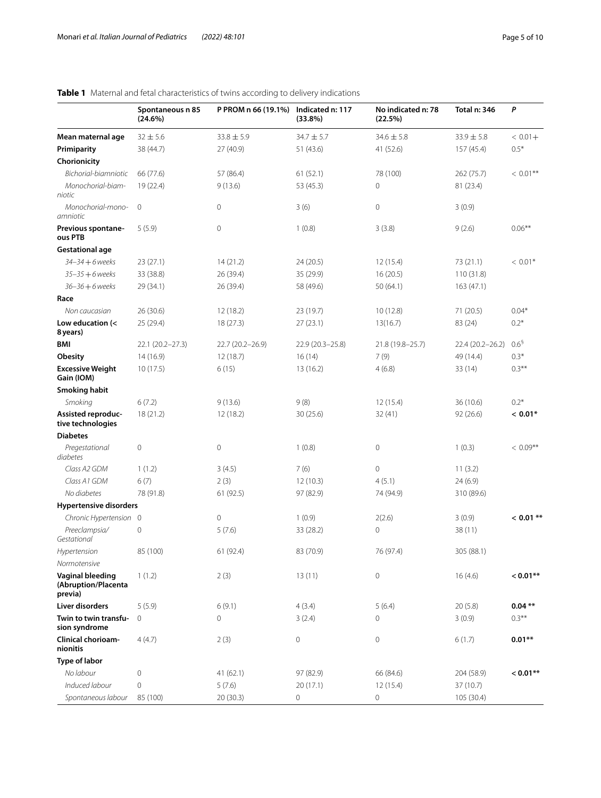|                                                    | Spontaneous n 85<br>(24.6%) | P PROM n 66 (19.1%) | Indicated n: 117<br>(33.8%) | No indicated n: 78<br>(22.5%) | Total n: 346     | P                |
|----------------------------------------------------|-----------------------------|---------------------|-----------------------------|-------------------------------|------------------|------------------|
| Mean maternal age                                  | $32 \pm 5.6$                | $33.8 \pm 5.9$      | $34.7 \pm 5.7$              | $34.6 \pm 5.8$                | $33.9 \pm 5.8$   | $< 0.01 +$       |
| Primiparity                                        | 38 (44.7)                   | 27 (40.9)           | 51 (43.6)                   | 41 (52.6)                     | 157(45.4)        | $0.5*$           |
| Chorionicity                                       |                             |                     |                             |                               |                  |                  |
| Bichorial-biamniotic                               | 66 (77.6)                   | 57 (86.4)           | 61(52.1)                    | 78 (100)                      | 262 (75.7)       | $< 0.01$ **      |
| Monochorial-biam-<br>niotic                        | 19 (22.4)                   | 9(13.6)             | 53 (45.3)                   | 0                             | 81 (23.4)        |                  |
| Monochorial-mono-<br>amniotic                      | $\mathbf 0$                 | 0                   | 3(6)                        | 0                             | 3(0.9)           |                  |
| Previous spontane-<br>ous PTB                      | 5(5.9)                      | 0                   | 1(0.8)                      | 3(3.8)                        | 9(2.6)           | $0.06***$        |
| <b>Gestational age</b>                             |                             |                     |                             |                               |                  |                  |
| 34-34 + 6 weeks                                    | 23(27.1)                    | 14(21.2)            | 24 (20.5)                   | 12(15.4)                      | 73 (21.1)        | $< 0.01*$        |
| $35 - 35 + 6$ weeks                                | 33 (38.8)                   | 26 (39.4)           | 35 (29.9)                   | 16(20.5)                      | 110(31.8)        |                  |
| $36 - 36 + 6$ weeks<br>Race                        | 29 (34.1)                   | 26 (39.4)           | 58 (49.6)                   | 50 (64.1)                     | 163(47.1)        |                  |
| Non caucasian                                      | 26(30.6)                    | 12 (18.2)           | 23 (19.7)                   | 10(12.8)                      | 71 (20.5)        | $0.04*$          |
| Low education (<<br>8 years)                       | 25 (29.4)                   | 18 (27.3)           | 27(23.1)                    | 13(16.7)                      | 83 (24)          | $0.2*$           |
| <b>BMI</b>                                         | 22.1 (20.2-27.3)            | 22.7 (20.2-26.9)    | 22.9 (20.3-25.8)            | 21.8 (19.8-25.7)              | 22.4 (20.2-26.2) | 0.6 <sup>5</sup> |
| <b>Obesity</b>                                     | 14(16.9)                    | 12(18.7)            | 16(14)                      | 7(9)                          | 49 (14.4)        | $0.3*$           |
| <b>Excessive Weight</b><br>Gain (IOM)              | 10(17.5)                    | 6(15)               | 13(16.2)                    | 4(6.8)                        | 33 (14)          | $0.3***$         |
| <b>Smoking habit</b>                               |                             |                     |                             |                               |                  |                  |
| Smoking                                            | 6(7.2)                      | 9(13.6)             | 9(8)                        | 12(15.4)                      | 36 (10.6)        | $0.2*$           |
| Assisted reproduc-<br>tive technologies            | 18(21.2)                    | 12(18.2)            | 30(25.6)                    | 32(41)                        | 92(26.6)         | $< 0.01*$        |
| <b>Diabetes</b>                                    |                             |                     |                             |                               |                  |                  |
| Pregestational<br>diabetes                         | 0                           | 0                   | 1(0.8)                      | $\mathsf{O}\xspace$           | 1(0.3)           | $< 0.09***$      |
| Class A2 GDM                                       | 1(1.2)                      | 3(4.5)              | 7(6)                        | 0                             | 11(3.2)          |                  |
| Class A1 GDM                                       | 6(7)                        | 2(3)                | 12(10.3)                    | 4(5.1)                        | 24(6.9)          |                  |
| No diabetes                                        | 78 (91.8)                   | 61 (92.5)           | 97 (82.9)                   | 74 (94.9)                     | 310 (89.6)       |                  |
| <b>Hypertensive disorders</b>                      |                             |                     |                             |                               |                  |                  |
| Chronic Hypertension 0                             |                             | 0                   | 1(0.9)                      | 2(2.6)                        | 3(0.9)           | $< 0.01$ **      |
| Preeclampsia/<br>Gestational                       | 0                           | 5(7.6)              | 33 (28.2)                   | 0                             | 38 (11)          |                  |
| Hypertension<br>Normotensive                       | 85 (100)                    | 61 (92.4)           | 83 (70.9)                   | 76 (97.4)                     | 305 (88.1)       |                  |
| Vaginal bleeding<br>(Abruption/Placenta<br>previa) | 1(1.2)                      | 2(3)                | 13(11)                      | 0                             | 16(4.6)          | $< 0.01**$       |
| Liver disorders                                    | 5(5.9)                      | 6(9.1)              | 4(3.4)                      | 5(6.4)                        | 20(5.8)          | $0.04**$         |
| Twin to twin transfu-<br>sion syndrome             | 0                           | 0                   | 3(2.4)                      | 0                             | 3(0.9)           | $0.3***$         |
| Clinical chorioam-<br>nionitis                     | 4(4.7)                      | 2(3)                | $\mathbb O$                 | 0                             | 6(1.7)           | $0.01**$         |
| Type of labor                                      |                             |                     |                             |                               |                  |                  |
| No labour                                          | 0                           | 41 (62.1)           | 97 (82.9)                   | 66 (84.6)                     | 204 (58.9)       | $< 0.01**$       |
| Induced labour                                     | 0                           | 5(7.6)              | 20(17.1)                    | 12(15.4)                      | 37 (10.7)        |                  |
| Spontaneous labour                                 | 85 (100)                    | 20 (30.3)           | 0                           | 0                             | 105 (30.4)       |                  |

## <span id="page-4-0"></span>**Table 1** Maternal and fetal characteristics of twins according to delivery indications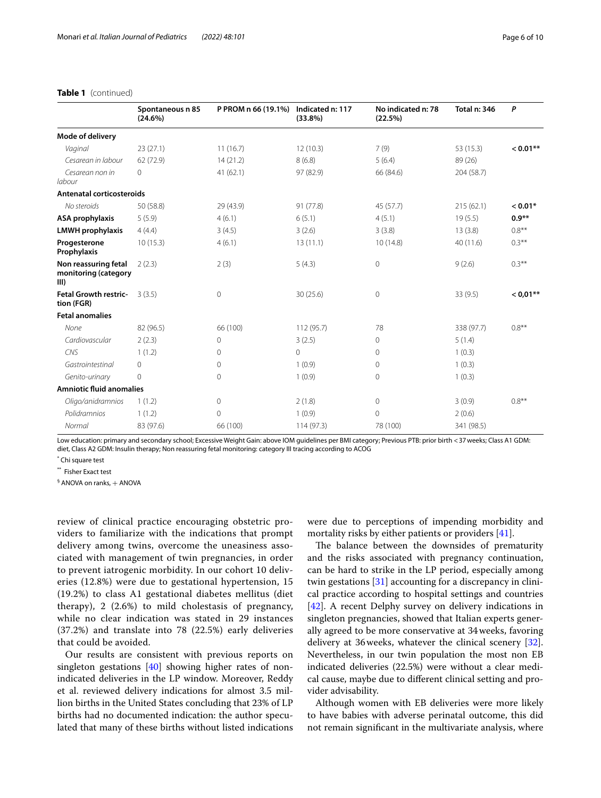#### **Table 1** (continued)

|                                                      | Spontaneous n 85<br>(24.6%) | P PROM n 66 (19.1%) | Indicated n: 117<br>(33.8%) | No indicated n: 78<br>(22.5%) | Total n: 346 | P          |
|------------------------------------------------------|-----------------------------|---------------------|-----------------------------|-------------------------------|--------------|------------|
| Mode of delivery                                     |                             |                     |                             |                               |              |            |
| Vaginal                                              | 23(27.1)                    | 11(16.7)            | 12(10.3)                    | 7(9)                          | 53 (15.3)    | $< 0.01**$ |
| Cesarean in labour                                   | 62 (72.9)                   | 14(21.2)            | 8(6.8)                      | 5(6.4)                        | 89 (26)      |            |
| Cesarean non in<br>labour                            | $\circ$                     | 41(62.1)            | 97 (82.9)                   | 66 (84.6)                     | 204 (58.7)   |            |
| Antenatal corticosteroids                            |                             |                     |                             |                               |              |            |
| No steroids                                          | 50 (58.8)                   | 29 (43.9)           | 91 (77.8)                   | 45 (57.7)                     | 215(62.1)    | $< 0.01*$  |
| ASA prophylaxis                                      | 5(5.9)                      | 4(6.1)              | 6(5.1)                      | 4(5.1)                        | 19(5.5)      | $0.9**$    |
| <b>LMWH</b> prophylaxis                              | 4(4.4)                      | 3(4.5)              | 3(2.6)                      | 3(3.8)                        | 13(3.8)      | $0.8***$   |
| Progesterone<br>Prophylaxis                          | 10(15.3)                    | 4(6.1)              | 13(11.1)                    | 10(14.8)                      | 40(11.6)     | $0.3***$   |
| Non reassuring fetal<br>monitoring (category<br>III) | 2(2.3)                      | 2(3)                | 5(4.3)                      | $\mathbf 0$                   | 9(2.6)       | $0.3***$   |
| <b>Fetal Growth restric-</b><br>tion (FGR)           | 3(3.5)                      | $\mathbf{0}$        | 30 (25.6)                   | $\mathbf{0}$                  | 33(9.5)      | $< 0.01**$ |
| <b>Fetal anomalies</b>                               |                             |                     |                             |                               |              |            |
| None                                                 | 82 (96.5)                   | 66 (100)            | 112 (95.7)                  | 78                            | 338 (97.7)   | $0.8***$   |
| Cardiovascular                                       | 2(2.3)                      | $\circ$             | 3(2.5)                      | $\circ$                       | 5(1.4)       |            |
| CNS                                                  | 1(1.2)                      | $\Omega$            | $\Omega$                    | $\Omega$                      | 1(0.3)       |            |
| Gastrointestinal                                     | $\circ$                     | $\circ$             | 1(0.9)                      | $\mathbf{0}$                  | 1(0.3)       |            |
| Genito-urinary                                       | $\mathbf{0}$                | $\circ$             | 1(0.9)                      | $\mathbf{0}$                  | 1(0.3)       |            |
| <b>Amniotic fluid anomalies</b>                      |                             |                     |                             |                               |              |            |
| Oligo/anidramnios                                    | 1(1.2)                      | $\circ$             | 2(1.8)                      | $\circ$                       | 3(0.9)       | $0.8**$    |
| Polidramnios                                         | 1(1.2)                      | $\circ$             | 1(0.9)                      | $\mathbf{0}$                  | 2(0.6)       |            |
| Normal                                               | 83 (97.6)                   | 66 (100)            | 114(97.3)                   | 78 (100)                      | 341 (98.5)   |            |

Low education: primary and secondary school; Excessive Weight Gain: above IOM guidelines per BMI category; Previous PTB: prior birth <37weeks; Class A1 GDM: diet, Class A2 GDM: Insulin therapy; Non reassuring fetal monitoring: category III tracing according to ACOG

\* Chi square test

\*\* Fisher Exact test

 $\frac{1}{2}$  ANOVA on ranks,  $+$  ANOVA

review of clinical practice encouraging obstetric providers to familiarize with the indications that prompt delivery among twins, overcome the uneasiness associated with management of twin pregnancies, in order to prevent iatrogenic morbidity. In our cohort 10 deliveries (12.8%) were due to gestational hypertension, 15 (19.2%) to class A1 gestational diabetes mellitus (diet therapy), 2 (2.6%) to mild cholestasis of pregnancy, while no clear indication was stated in 29 instances (37.2%) and translate into 78 (22.5%) early deliveries that could be avoided.

Our results are consistent with previous reports on singleton gestations  $[40]$  $[40]$  showing higher rates of nonindicated deliveries in the LP window. Moreover, Reddy et al. reviewed delivery indications for almost 3.5 million births in the United States concluding that 23% of LP births had no documented indication: the author speculated that many of these births without listed indications were due to perceptions of impending morbidity and mortality risks by either patients or providers [[41\]](#page-9-30).

The balance between the downsides of prematurity and the risks associated with pregnancy continuation, can be hard to strike in the LP period, especially among twin gestations [[31\]](#page-9-20) accounting for a discrepancy in clinical practice according to hospital settings and countries [[42\]](#page-9-31). A recent Delphy survey on delivery indications in singleton pregnancies, showed that Italian experts generally agreed to be more conservative at 34weeks, favoring delivery at 36weeks, whatever the clinical scenery [\[32](#page-9-21)]. Nevertheless, in our twin population the most non EB indicated deliveries (22.5%) were without a clear medical cause, maybe due to diferent clinical setting and provider advisability.

Although women with EB deliveries were more likely to have babies with adverse perinatal outcome, this did not remain signifcant in the multivariate analysis, where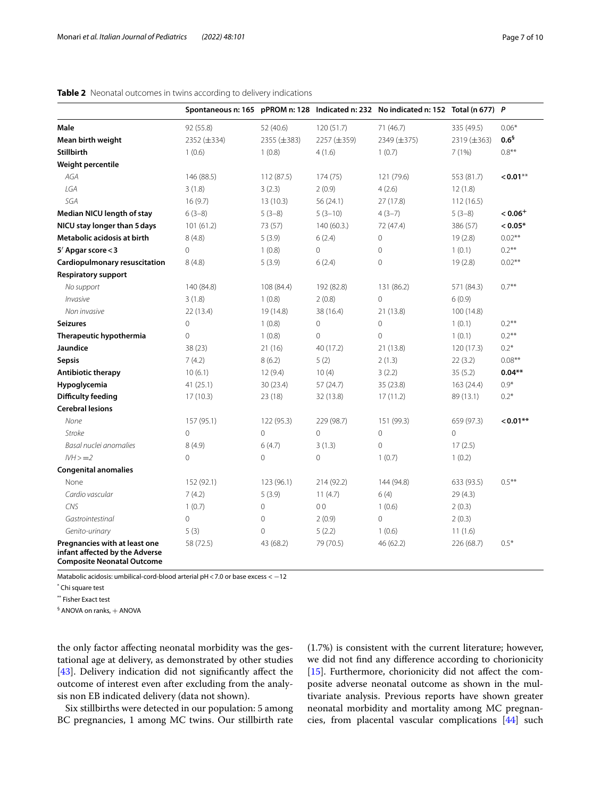|                                                                                                      |                |                |                | Spontaneous n: 165 pPROM n: 128 Indicated n: 232 No indicated n: 152 Total (n 677) P |                |                  |
|------------------------------------------------------------------------------------------------------|----------------|----------------|----------------|--------------------------------------------------------------------------------------|----------------|------------------|
| <b>Male</b>                                                                                          | 92 (55.8)      | 52 (40.6)      | 120 (51.7)     | 71 (46.7)                                                                            | 335 (49.5)     | $0.06*$          |
| Mean birth weight                                                                                    | 2352 (±334)    | 2355 (±383)    | 2257 (±359)    | 2349 (±375)                                                                          | 2319 (±363)    | 0.6 <sup>5</sup> |
| <b>Stillbirth</b>                                                                                    | 1(0.6)         | 1(0.8)         | 4(1.6)         | 1(0.7)                                                                               | 7(1%)          | $0.8***$         |
| Weight percentile                                                                                    |                |                |                |                                                                                      |                |                  |
| AGA                                                                                                  | 146 (88.5)     | 112 (87.5)     | 174 (75)       | 121 (79.6)                                                                           | 553 (81.7)     | $< 0.01**$       |
| IGA                                                                                                  | 3(1.8)         | 3(2.3)         | 2(0.9)         | 4(2.6)                                                                               | 12(1.8)        |                  |
| SGA                                                                                                  | 16(9.7)        | 13(10.3)       | 56 (24.1)      | 27 (17.8)                                                                            | 112(16.5)      |                  |
| Median NICU length of stay                                                                           | $6(3-8)$       | $5(3-8)$       | $5(3-10)$      | $4(3-7)$                                                                             | $5(3-8)$       | $< 0.06+$        |
| NICU stay longer than 5 days                                                                         | 101(61.2)      | 73 (57)        | 140(60.3)      | 72 (47.4)                                                                            | 386 (57)       | $< 0.05*$        |
| Metabolic acidosis at birth                                                                          | 8(4.8)         | 5(3.9)         | 6(2.4)         | 0                                                                                    | 19(2.8)        | $0.02***$        |
| 5 <sup>'</sup> Apgar score < 3                                                                       | 0              | 1(0.8)         | 0              | 0                                                                                    | 1(0.1)         | $0.2***$         |
| Cardiopulmonary resuscitation                                                                        | 8(4.8)         | 5(3.9)         | 6(2.4)         | 0                                                                                    | 19(2.8)        | $0.02**$         |
| <b>Respiratory support</b>                                                                           |                |                |                |                                                                                      |                |                  |
| No support                                                                                           | 140 (84.8)     | 108 (84.4)     | 192 (82.8)     | 131 (86.2)                                                                           | 571 (84.3)     | $0.7***$         |
| Invasive                                                                                             | 3(1.8)         | 1(0.8)         | 2(0.8)         | $\overline{0}$                                                                       | 6(0.9)         |                  |
| Non invasive                                                                                         | 22 (13.4)      | 19 (14.8)      | 38 (16.4)      | 21 (13.8)                                                                            | 100 (14.8)     |                  |
| <b>Seizures</b>                                                                                      | 0              | 1(0.8)         | 0              | 0                                                                                    | 1(0.1)         | $0.2***$         |
| Therapeutic hypothermia                                                                              | 0              | 1(0.8)         | 0              | $\overline{0}$                                                                       | 1(0.1)         | $0.2***$         |
| Jaundice                                                                                             | 38 (23)        | 21 (16)        | 40 (17.2)      | 21 (13.8)                                                                            | 120(17.3)      | $0.2*$           |
| <b>Sepsis</b>                                                                                        | 7(4.2)         | 8(6.2)         | 5(2)           | 2(1.3)                                                                               | 22(3.2)        | $0.08**$         |
| <b>Antibiotic therapy</b>                                                                            | 10(6.1)        | 12(9.4)        | 10(4)          | 3(2.2)                                                                               | 35(5.2)        | $0.04**$         |
| Hypoglycemia                                                                                         | 41(25.1)       | 30(23.4)       | 57 (24.7)      | 35 (23.8)                                                                            | 163(24.4)      | $0.9*$           |
| <b>Difficulty feeding</b>                                                                            | 17(10.3)       | 23(18)         | 32 (13.8)      | 17(11.2)                                                                             | 89 (13.1)      | $0.2*$           |
| <b>Cerebral lesions</b>                                                                              |                |                |                |                                                                                      |                |                  |
| None                                                                                                 | 157 (95.1)     | 122 (95.3)     | 229 (98.7)     | 151 (99.3)                                                                           | 659 (97.3)     | $< 0.01**$       |
| <b>Stroke</b>                                                                                        | $\Omega$       | $\overline{0}$ | $\overline{O}$ | $\overline{0}$                                                                       | $\overline{O}$ |                  |
| Basal nuclei anomalies                                                                               | 8(4.9)         | 6(4.7)         | 3(1.3)         | $\overline{0}$                                                                       | 17(2.5)        |                  |
| $IWH > = 2$                                                                                          | $\overline{0}$ | $\mathbf 0$    | $\mathbf 0$    | 1(0.7)                                                                               | 1(0.2)         |                  |
| <b>Congenital anomalies</b>                                                                          |                |                |                |                                                                                      |                |                  |
| None                                                                                                 | 152 (92.1)     | 123 (96.1)     | 214 (92.2)     | 144 (94.8)                                                                           | 633 (93.5)     | $0.5***$         |
| Cardio vascular                                                                                      | 7(4.2)         | 5(3.9)         | 11(4.7)        | 6(4)                                                                                 | 29(4.3)        |                  |
| CNS                                                                                                  | 1(0.7)         | $\Omega$       | 0 <sub>0</sub> | 1(0.6)                                                                               | 2(0.3)         |                  |
| Gastrointestinal                                                                                     | $\mathbf{0}$   | $\mathbf{0}$   | 2(0.9)         | 0                                                                                    | 2(0.3)         |                  |
| Genito-urinary                                                                                       | 5(3)           | 0              | 5(2.2)         | 1(0.6)                                                                               | 11(1.6)        |                  |
| Pregnancies with at least one<br>infant affected by the Adverse<br><b>Composite Neonatal Outcome</b> | 58 (72.5)      | 43 (68.2)      | 79 (70.5)      | 46 (62.2)                                                                            | 226 (68.7)     | $0.5*$           |

## <span id="page-6-0"></span>**Table 2** Neonatal outcomes in twins according to delivery indications

Matabolic acidosis: umbilical-cord-blood arterial pH<7.0 or base excess < −12

\* Chi square test

\*\* Fisher Exact test

 $\frac{1}{2}$  ANOVA on ranks,  $+$  ANOVA

the only factor afecting neonatal morbidity was the gestational age at delivery, as demonstrated by other studies [[43\]](#page-9-32). Delivery indication did not significantly affect the outcome of interest even after excluding from the analysis non EB indicated delivery (data not shown).

Six stillbirths were detected in our population: 5 among BC pregnancies, 1 among MC twins. Our stillbirth rate (1.7%) is consistent with the current literature; however, we did not fnd any diference according to chorionicity [[15\]](#page-9-4). Furthermore, chorionicity did not affect the composite adverse neonatal outcome as shown in the multivariate analysis. Previous reports have shown greater neonatal morbidity and mortality among MC pregnancies, from placental vascular complications [\[44](#page-9-33)] such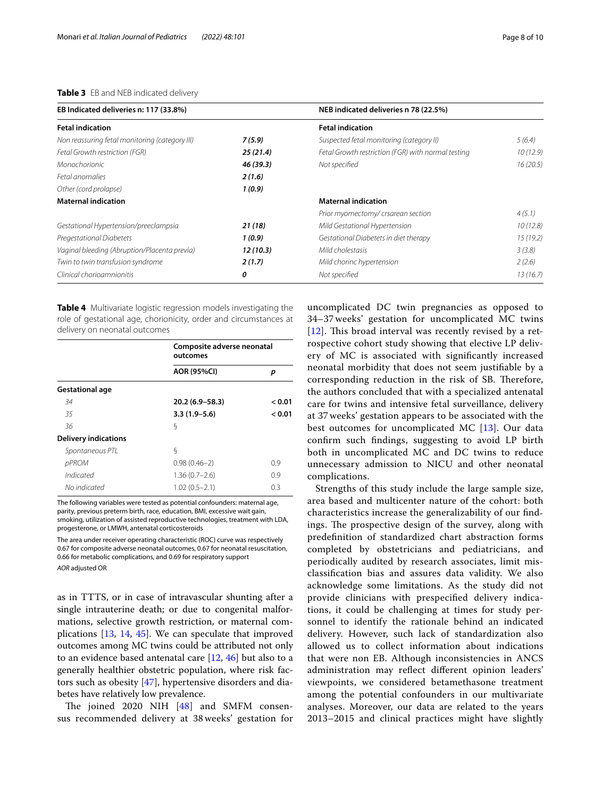#### <span id="page-7-0"></span>**Table 3** EB and NEB indicated delivery

| EB Indicated deliveries n: 117 (33.8%)         |           | NEB indicated deliveries n 78 (22.5%)              |          |  |
|------------------------------------------------|-----------|----------------------------------------------------|----------|--|
| <b>Fetal indication</b>                        |           | <b>Fetal indication</b>                            |          |  |
| Non reassuring fetal monitoring (category III) | 7(5.9)    | Suspected fetal monitoring (category II)           | 5(6.4)   |  |
| Fetal Growth restriction (FGR)                 | 25(21.4)  | Fetal Growth restriction (FGR) with normal testing | 10(12.9) |  |
| Monochorionic                                  | 46 (39.3) | Not specified                                      | 16(20.5) |  |
| Fetal anomalies                                | 2(1.6)    |                                                    |          |  |
| Other (cord prolapse)                          | 1(0.9)    |                                                    |          |  |
| <b>Maternal indication</b>                     |           | <b>Maternal indication</b>                         |          |  |
|                                                |           | Prior myomectomy/crsarean section                  | 4(5.1)   |  |
| Gestational Hypertension/preeclampsia          | 21(18)    | Mild Gestational Hypertension                      | 10(12.8) |  |
| Pregestational Diabetets                       | 1(0.9)    | Gestational Diabetets in diet therapy              | 15(19.2) |  |
| Vaginal bleeding (Abruption/Placenta previa)   | 12(10.3)  | Mild cholestasis                                   | 3(3.8)   |  |
| Twin to twin transfusion syndrome              | 2(1.7)    | Mild chorinc hypertension                          | 2(2.6)   |  |
| Clinical chorioamnionitis                      | 0         | Not specified                                      | 13(16.7) |  |

<span id="page-7-1"></span>**Table 4** Multivariate logistic regression models investigating the role of gestational age, chorionicity, order and circumstances at delivery on neonatal outcomes

|                             | Composite adverse neonatal<br>outcomes |        |  |
|-----------------------------|----------------------------------------|--------|--|
|                             | <b>AOR (95%CI)</b>                     | р      |  |
| <b>Gestational age</b>      |                                        |        |  |
| 34                          | $20.2(6.9 - 58.3)$                     | < 0.01 |  |
| 35                          | $3.3(1.9 - 5.6)$                       | < 0.01 |  |
| 36                          | ξ                                      |        |  |
| <b>Delivery indications</b> |                                        |        |  |
| Spontaneous PTL             | ξ                                      |        |  |
| pPROM                       | $0.98(0.46-2)$                         | 0.9    |  |
| Indicated                   | $1.36(0.7-2.6)$                        | 0.9    |  |
| No indicated                | $1.02(0.5 - 2.1)$                      | 0.3    |  |

The following variables were tested as potential confounders: maternal age, parity, previous preterm birth, race, education, BMI, excessive wait gain, smoking, utilization of assisted reproductive technologies, treatment with LDA, progesterone, or LMWH, antenatal corticosteroids

The area under receiver operating characteristic (ROC) curve was respectively 0.67 for composite adverse neonatal outcomes, 0.67 for neonatal resuscitation, 0.66 for metabolic complications, and 0.69 for respiratory support

*AOR* adjusted OR

as in TTTS, or in case of intravascular shunting after a single intrauterine death; or due to congenital malformations, selective growth restriction, or maternal complications [\[13](#page-9-3), [14,](#page-9-34) [45\]](#page-9-35). We can speculate that improved outcomes among MC twins could be attributed not only to an evidence based antenatal care [[12,](#page-9-2) [46\]](#page-9-36) but also to a generally healthier obstetric population, where risk factors such as obesity [\[47\]](#page-9-37), hypertensive disorders and diabetes have relatively low prevalence.

The joined 2020 NIH  $[48]$  $[48]$  and SMFM consensus recommended delivery at 38 weeks' gestation for

uncomplicated DC twin pregnancies as opposed to 34–37 weeks' gestation for uncomplicated MC twins  $[12]$  $[12]$  $[12]$ . This broad interval was recently revised by a retrospective cohort study showing that elective LP delivery of MC is associated with signifcantly increased neonatal morbidity that does not seem justifable by a corresponding reduction in the risk of SB. Therefore, the authors concluded that with a specialized antenatal care for twins and intensive fetal surveillance, delivery at 37 weeks' gestation appears to be associated with the best outcomes for uncomplicated MC [[13](#page-9-3)]. Our data confrm such fndings, suggesting to avoid LP birth both in uncomplicated MC and DC twins to reduce unnecessary admission to NICU and other neonatal complications.

Strengths of this study include the large sample size, area based and multicenter nature of the cohort: both characteristics increase the generalizability of our fndings. The prospective design of the survey, along with predefnition of standardized chart abstraction forms completed by obstetricians and pediatricians, and periodically audited by research associates, limit misclassifcation bias and assures data validity. We also acknowledge some limitations. As the study did not provide clinicians with prespecifed delivery indications, it could be challenging at times for study personnel to identify the rationale behind an indicated delivery. However, such lack of standardization also allowed us to collect information about indications that were non EB. Although inconsistencies in ANCS administration may refect diferent opinion leaders' viewpoints, we considered betamethasone treatment among the potential confounders in our multivariate analyses. Moreover, our data are related to the years 2013–2015 and clinical practices might have slightly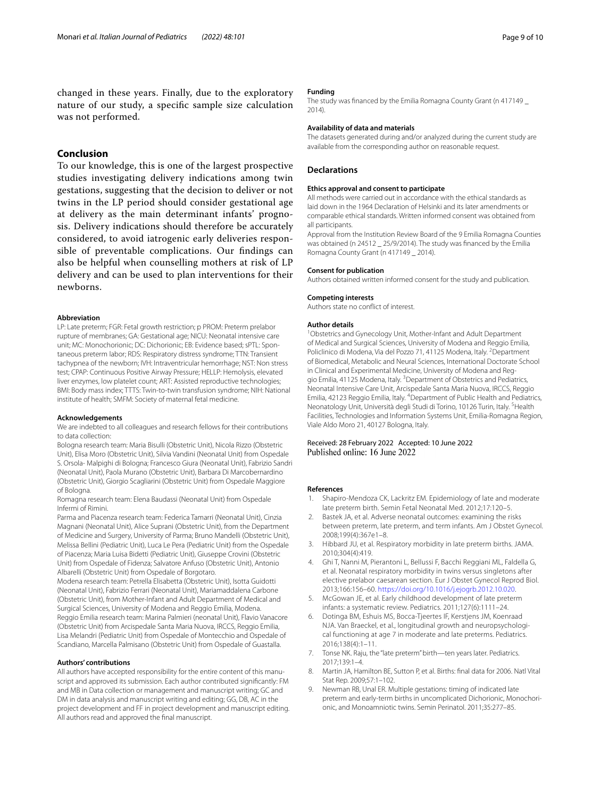changed in these years. Finally, due to the exploratory nature of our study, a specifc sample size calculation was not performed.

### **Conclusion**

To our knowledge, this is one of the largest prospective studies investigating delivery indications among twin gestations, suggesting that the decision to deliver or not twins in the LP period should consider gestational age at delivery as the main determinant infants' prognosis. Delivery indications should therefore be accurately considered, to avoid iatrogenic early deliveries responsible of preventable complications. Our fndings can also be helpful when counselling mothers at risk of LP delivery and can be used to plan interventions for their newborns.

#### **Abbreviation**

LP: Late preterm; FGR: Fetal growth restriction; p PROM: Preterm prelabor rupture of membranes; GA: Gestational age; NICU: Neonatal intensive care unit; MC: Monochorionic; DC: Dichorionic; EB: Evidence based; sPTL: Spontaneous preterm labor; RDS: Respiratory distress syndrome; TTN: Transient tachypnea of the newborn; IVH: Intraventricular hemorrhage; NST: Non stress test; CPAP: Continuous Positive Airway Pressure; HELLP: Hemolysis, elevated liver enzymes, low platelet count; ART: Assisted reproductive technologies; BMI: Body mass index; TTTS: Twin-to-twin transfusion syndrome; NIH: National institute of health; SMFM: Society of maternal fetal medicine.

#### **Acknowledgements**

We are indebted to all colleagues and research fellows for their contributions to data collection:

Bologna research team: Maria Bisulli (Obstetric Unit), Nicola Rizzo (Obstetric Unit), Elisa Moro (Obstetric Unit), Silvia Vandini (Neonatal Unit) from Ospedale S. Orsola- Malpighi di Bologna; Francesco Giura (Neonatal Unit), Fabrizio Sandri (Neonatal Unit), Paola Murano (Obstetric Unit), Barbara Di Marcobernardino (Obstetric Unit), Giorgio Scagliarini (Obstetric Unit) from Ospedale Maggiore of Bologna.

Romagna research team: Elena Baudassi (Neonatal Unit) from Ospedale Infermi of Rimini.

Parma and Piacenza research team: Federica Tamarri (Neonatal Unit), Cinzia Magnani (Neonatal Unit), Alice Suprani (Obstetric Unit), from the Department of Medicine and Surgery, University of Parma; Bruno Mandelli (Obstetric Unit), Melissa Bellini (Pediatric Unit), Luca Le Pera (Pediatric Unit) from the Ospedale of Piacenza; Maria Luisa Bidetti (Pediatric Unit), Giuseppe Crovini (Obstetric Unit) from Ospedale of Fidenza; Salvatore Anfuso (Obstetric Unit), Antonio Albarelli (Obstetric Unit) from Ospedale of Borgotaro.

Modena research team: Petrella Elisabetta (Obstetric Unit), Isotta Guidotti (Neonatal Unit), Fabrizio Ferrari (Neonatal Unit), Mariamaddalena Carbone (Obstetric Unit), from Mother-Infant and Adult Department of Medical and Surgical Sciences, University of Modena and Reggio Emilia, Modena. Reggio Emilia research team: Marina Palmieri (neonatal Unit), Flavio Vanacore (Obstetric Unit) from Arcispedale Santa Maria Nuova, IRCCS, Reggio Emilia, Lisa Melandri (Pediatric Unit) from Ospedale of Montecchio and Ospedale of Scandiano, Marcella Palmisano (Obstetric Unit) from Ospedale of Guastalla.

#### **Authors' contributions**

All authors have accepted responsibility for the entire content of this manuscript and approved its submission. Each author contributed signifcantly: FM and MB in Data collection or management and manuscript writing; GC and DM in data analysis and manuscript writing and editing; GG, DB, AC in the project development and FF in project development and manuscript editing. All authors read and approved the fnal manuscript.

#### **Funding**

The study was financed by the Emilia Romagna County Grant (n 417149 2014).

#### **Availability of data and materials**

The datasets generated during and/or analyzed during the current study are available from the corresponding author on reasonable request.

#### **Declarations**

#### **Ethics approval and consent to participate**

All methods were carried out in accordance with the ethical standards as laid down in the 1964 Declaration of Helsinki and its later amendments or comparable ethical standards. Written informed consent was obtained from all participants.

Approval from the Institution Review Board of the 9 Emilia Romagna Counties was obtained (n 24512 \_ 25/9/2014). The study was fnanced by the Emilia Romagna County Grant (n 417149 \_ 2014).

#### **Consent for publication**

Authors obtained written informed consent for the study and publication.

# **Competing interests**

Authors state no confict of interest.

#### **Author details**

<sup>1</sup> Obstetrics and Gynecology Unit, Mother-Infant and Adult Department of Medical and Surgical Sciences, University of Modena and Reggio Emilia, Policlinico di Modena, Via del Pozzo 71, 41125 Modena, Italy. <sup>2</sup> Department of Biomedical, Metabolic and Neural Sciences, International Doctorate School in Clinical and Experimental Medicine, University of Modena and Reggio Emilia, 41125 Modena, Italy. <sup>3</sup> Department of Obstetrics and Pediatrics, Neonatal Intensive Care Unit, Arcispedale Santa Maria Nuova, IRCCS, Reggio Emilia, 42123 Reggio Emilia, Italy. <sup>4</sup> Department of Public Health and Pediatrics, Neonatology Unit, Università degli Studi di Torino, 10126 Turin, Italy. <sup>5</sup>Health Facilities, Technologies and Information Systems Unit, Emilia-Romagna Region, Viale Aldo Moro 21, 40127 Bologna, Italy.

# Received: 28 February 2022 Accepted: 10 June 2022

#### **References**

- <span id="page-8-0"></span>Shapiro-Mendoza CK, Lackritz EM. Epidemiology of late and moderate late preterm birth. Semin Fetal Neonatal Med. 2012;17:120–5.
- <span id="page-8-1"></span>2. Bastek JA, et al. Adverse neonatal outcomes: examining the risks between preterm, late preterm, and term infants. Am J Obstet Gynecol. 2008;199(4):367e1–8.
- <span id="page-8-8"></span>3. Hibbard JU, et al. Respiratory morbidity in late preterm births. JAMA. 2010;304(4):419.
- <span id="page-8-2"></span>4. Ghi T, Nanni M, Pierantoni L, Bellussi F, Bacchi Reggiani ML, Faldella G, et al. Neonatal respiratory morbidity in twins versus singletons after elective prelabor caesarean section. Eur J Obstet Gynecol Reprod Biol. 2013;166:156–60. <https://doi.org/10.1016/j.ejogrb.2012.10.020>.
- <span id="page-8-3"></span>5. McGowan JE, et al. Early childhood development of late preterm infants: a systematic review. Pediatrics. 2011;127(6):1111–24.
- <span id="page-8-4"></span>6. Dotinga BM, Eshuis MS, Bocca-Tjeertes IF, Kerstjens JM, Koenraad NJA. Van Braeckel, et al., longitudinal growth and neuropsychological functioning at age 7 in moderate and late preterms. Pediatrics. 2016;138(4):1–11.
- <span id="page-8-5"></span>7. Tonse NK. Raju, the "late preterm" birth—ten years later. Pediatrics. 2017;139:1–4.
- <span id="page-8-6"></span>8. Martin JA, Hamilton BE, Sutton P, et al. Births: fnal data for 2006. Natl Vital Stat Rep. 2009;57:1–102.
- <span id="page-8-7"></span>9. Newman RB, Unal ER. Multiple gestations: timing of indicated late preterm and early-term births in uncomplicated Dichorionic, Monochorionic, and Monoamniotic twins. Semin Perinatol. 2011;35:277–85.